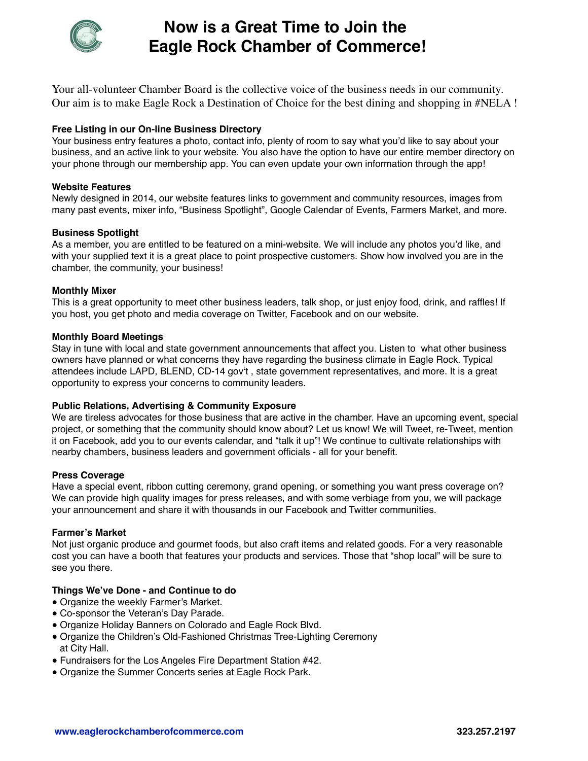

# **Now is a Great Time to Join the Eagle Rock Chamber of Commerce!**

Your all-volunteer Chamber Board is the collective voice of the business needs in our community. Our aim is to make Eagle Rock a Destination of Choice for the best dining and shopping in #NELA !

# **Free Listing in our On-line Business Directory**

Your business entry features a photo, contact info, plenty of room to say what you'd like to say about your business, and an active link to your website. You also have the option to have our entire member directory on your phone through our membership app. You can even update your own information through the app!

## **Website Features**

Newly designed in 2014, our website features links to government and community resources, images from many past events, mixer info, "Business Spotlight", Google Calendar of Events, Farmers Market, and more.

# **Business Spotlight**

As a member, you are entitled to be featured on a mini-website. We will include any photos you'd like, and with your supplied text it is a great place to point prospective customers. Show how involved you are in the chamber, the community, your business!

## **Monthly Mixer**

This is a great opportunity to meet other business leaders, talk shop, or just enjoy food, drink, and raffles! If you host, you get photo and media coverage on Twitter, Facebook and on our website.

## **Monthly Board Meetings**

Stay in tune with local and state government announcements that affect you. Listen to what other business owners have planned or what concerns they have regarding the business climate in Eagle Rock. Typical attendees include LAPD, BLEND, CD-14 gov't , state government representatives, and more. It is a great opportunity to express your concerns to community leaders.

#### **Public Relations, Advertising & Community Exposure**

We are tireless advocates for those business that are active in the chamber. Have an upcoming event, special project, or something that the community should know about? Let us know! We will Tweet, re-Tweet, mention it on Facebook, add you to our events calendar, and "talk it up"! We continue to cultivate relationships with nearby chambers, business leaders and government officials - all for your benefit.

#### **Press Coverage**

Have a special event, ribbon cutting ceremony, grand opening, or something you want press coverage on? We can provide high quality images for press releases, and with some verbiage from you, we will package your announcement and share it with thousands in our Facebook and Twitter communities.

#### **Farmer's Market**

Not just organic produce and gourmet foods, but also craft items and related goods. For a very reasonable cost you can have a booth that features your products and services. Those that "shop local" will be sure to see you there.

#### **Things We've Done - and Continue to do**

- Organize the weekly Farmer's Market.
- Co-sponsor the Veteran's Day Parade.
- Organize Holiday Banners on Colorado and Eagle Rock Blvd.
- Organize the Children's Old-Fashioned Christmas Tree-Lighting Ceremony at City Hall.
- Fundraisers for the Los Angeles Fire Department Station #42.
- Organize the Summer Concerts series at Eagle Rock Park.